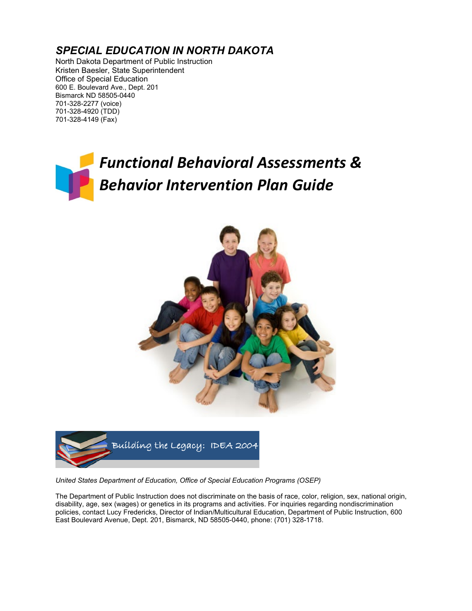### *SPECIAL EDUCATION IN NORTH DAKOTA*

North Dakota Department of Public Instruction Kristen Baesler, State Superintendent Office of Special Education 600 E. Boulevard Ave., Dept. 201 Bismarck ND 58505-0440 701-328-2277 (voice) 701-328-4920 (TDD) 701-328-4149 (Fax)

# *Functional Behavioral Assessments & Behavior Intervention Plan Guide*





*United States Department of Education, Office of Special Education Programs (OSEP)*

The Department of Public Instruction does not discriminate on the basis of race, color, religion, sex, national origin, disability, age, sex (wages) or genetics in its programs and activities. For inquiries regarding nondiscrimination policies, contact Lucy Fredericks, Director of Indian/Multicultural Education, Department of Public Instruction, 600 East Boulevard Avenue, Dept. 201, Bismarck, ND 58505-0440, phone: (701) 328-1718.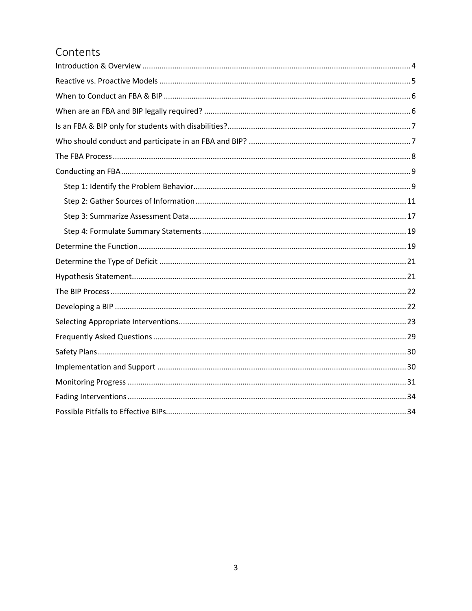### Contents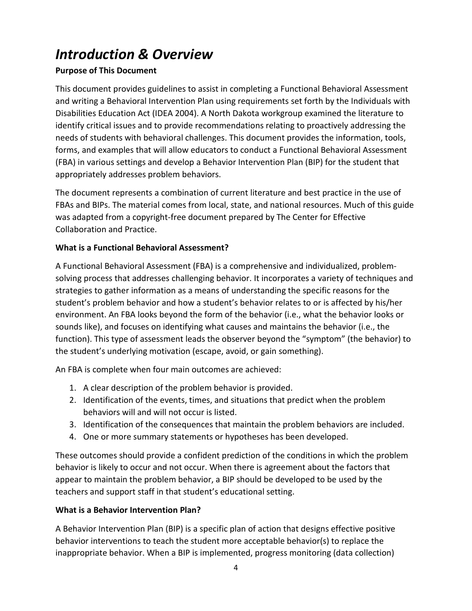## <span id="page-2-0"></span>*Introduction & Overview*

### **Purpose of This Document**

This document provides guidelines to assist in completing a Functional Behavioral Assessment and writing a Behavioral Intervention Plan using requirements set forth by the Individuals with Disabilities Education Act (IDEA 2004). A North Dakota workgroup examined the literature to identify critical issues and to provide recommendations relating to proactively addressing the needs of students with behavioral challenges. This document provides the information, tools, forms, and examples that will allow educators to conduct a Functional Behavioral Assessment (FBA) in various settings and develop a Behavior Intervention Plan (BIP) for the student that appropriately addresses problem behaviors.

The document represents a combination of current literature and best practice in the use of FBAs and BIPs. The material comes from local, state, and national resources. Much of this guide was adapted from a copyright-free document prepared by The Center for Effective Collaboration and Practice.

### **What is a Functional Behavioral Assessment?**

A Functional Behavioral Assessment (FBA) is a comprehensive and individualized, problemsolving process that addresses challenging behavior. It incorporates a variety of techniques and strategies to gather information as a means of understanding the specific reasons for the student's problem behavior and how a student's behavior relates to or is affected by his/her environment. An FBA looks beyond the form of the behavior (i.e., what the behavior looks or sounds like), and focuses on identifying what causes and maintains the behavior (i.e., the function). This type of assessment leads the observer beyond the "symptom" (the behavior) to the student's underlying motivation (escape, avoid, or gain something).

An FBA is complete when four main outcomes are achieved:

- 1. A clear description of the problem behavior is provided.
- 2. Identification of the events, times, and situations that predict when the problem behaviors will and will not occur is listed.
- 3. Identification of the consequences that maintain the problem behaviors are included.
- 4. One or more summary statements or hypotheses has been developed.

These outcomes should provide a confident prediction of the conditions in which the problem behavior is likely to occur and not occur. When there is agreement about the factors that appear to maintain the problem behavior, a BIP should be developed to be used by the teachers and support staff in that student's educational setting.

### **What is a Behavior Intervention Plan?**

A Behavior Intervention Plan (BIP) is a specific plan of action that designs effective positive behavior interventions to teach the student more acceptable behavior(s) to replace the inappropriate behavior. When a BIP is implemented, progress monitoring (data collection)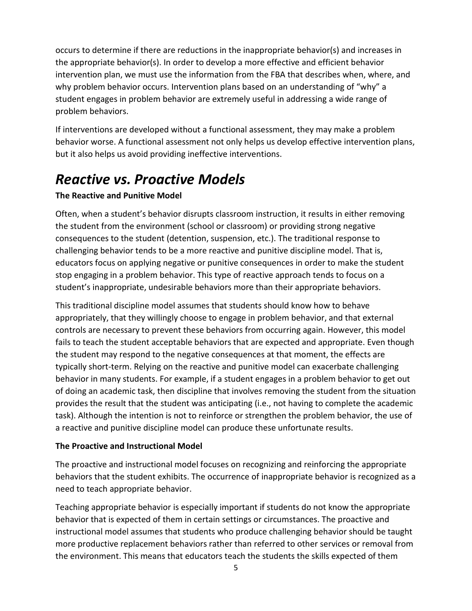occurs to determine if there are reductions in the inappropriate behavior(s) and increases in the appropriate behavior(s). In order to develop a more effective and efficient behavior intervention plan, we must use the information from the FBA that describes when, where, and why problem behavior occurs. Intervention plans based on an understanding of "why" a student engages in problem behavior are extremely useful in addressing a wide range of problem behaviors.

If interventions are developed without a functional assessment, they may make a problem behavior worse. A functional assessment not only helps us develop effective intervention plans, but it also helps us avoid providing ineffective interventions.

### <span id="page-3-0"></span>*Reactive vs. Proactive Models*

### **The Reactive and Punitive Model**

Often, when a student's behavior disrupts classroom instruction, it results in either removing the student from the environment (school or classroom) or providing strong negative consequences to the student (detention, suspension, etc.). The traditional response to challenging behavior tends to be a more reactive and punitive discipline model. That is, educators focus on applying negative or punitive consequences in order to make the student stop engaging in a problem behavior. This type of reactive approach tends to focus on a student's inappropriate, undesirable behaviors more than their appropriate behaviors.

This traditional discipline model assumes that students should know how to behave appropriately, that they willingly choose to engage in problem behavior, and that external controls are necessary to prevent these behaviors from occurring again. However, this model fails to teach the student acceptable behaviors that are expected and appropriate. Even though the student may respond to the negative consequences at that moment, the effects are typically short-term. Relying on the reactive and punitive model can exacerbate challenging behavior in many students. For example, if a student engages in a problem behavior to get out of doing an academic task, then discipline that involves removing the student from the situation provides the result that the student was anticipating (i.e., not having to complete the academic task). Although the intention is not to reinforce or strengthen the problem behavior, the use of a reactive and punitive discipline model can produce these unfortunate results.

### **The Proactive and Instructional Model**

The proactive and instructional model focuses on recognizing and reinforcing the appropriate behaviors that the student exhibits. The occurrence of inappropriate behavior is recognized as a need to teach appropriate behavior.

Teaching appropriate behavior is especially important if students do not know the appropriate behavior that is expected of them in certain settings or circumstances. The proactive and instructional model assumes that students who produce challenging behavior should be taught more productive replacement behaviors rather than referred to other services or removal from the environment. This means that educators teach the students the skills expected of them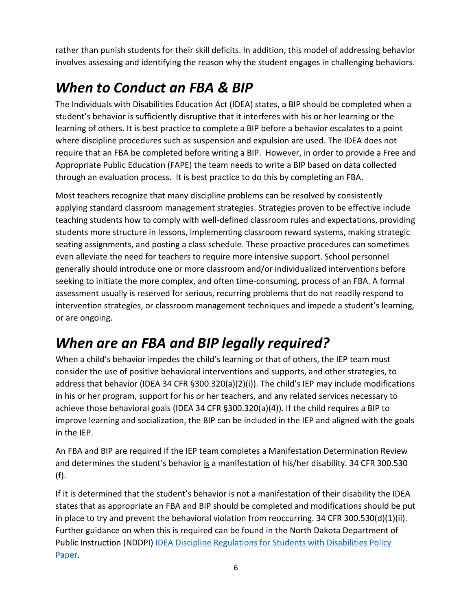rather than punish students for their skill deficits. In addition, this model of addressing behavior involves assessing and identifying the reason why the student engages in challenging behaviors.

## <span id="page-4-0"></span>*When to Conduct an FBA & BIP*

The Individuals with Disabilities Education Act (IDEA) states, a BIP should be completed when a student's behavior is sufficiently disruptive that it interferes with his or her learning or the learning of others. It is best practice to complete a BIP before a behavior escalates to a point where discipline procedures such as suspension and expulsion are used. The IDEA does not require that an FBA be completed before writing a BIP. However, in order to provide a Free and Appropriate Public Education (FAPE) the team needs to write a BIP based on data collected through an evaluation process. It is best practice to do this by completing an FBA.

Most teachers recognize that many discipline problems can be resolved by consistently applying standard classroom management strategies. Strategies proven to be effective include teaching students how to comply with well-defined classroom rules and expectations, providing students more structure in lessons, implementing classroom reward systems, making strategic seating assignments, and posting a class schedule. These proactive procedures can sometimes even alleviate the need for teachers to require more intensive support. School personnel generally should introduce one or more classroom and/or individualized interventions before seeking to initiate the more complex, and often time-consuming, process of an FBA. A formal assessment usually is reserved for serious, recurring problems that do not readily respond to intervention strategies, or classroom management techniques and impede a student's learning, or are ongoing.

## <span id="page-4-1"></span>*When are an FBA and BIP legally required?*

When a child's behavior impedes the child's learning or that of others, the IEP team must consider the use of positive behavioral interventions and supports, and other strategies, to address that behavior (IDEA 34 CFR §300.320(a)(2)(i)). The child's IEP may include modifications in his or her program, support for his or her teachers, and any related services necessary to achieve those behavioral goals (IDEA 34 CFR §300.320(a)(4)). If the child requires a BIP to improve learning and socialization, the BIP can be included in the IEP and aligned with the goals in the IEP.

An FBA and BIP are required if the IEP team completes a Manifestation Determination Review and determines the student's behavior is a manifestation of his/her disability. 34 CFR 300.530 (f).

If it is determined that the student's behavior is not a manifestation of their disability the IDEA states that as appropriate an FBA and BIP should be completed and modifications should be put in place to try and prevent the behavioral violation from reoccurring. 34 CFR 300.530(d)(1)(ii). Further guidance on when this is required can be found in the North Dakota Department of Public Instruction (NDDPI) [IDEA Discipline Regulations for Students with Disabilities](https://www.nd.gov/dpi/sites/www/files/documents/SpeEd/Guidelines/Discipline%20Policy%20Paper%206-19.pdf) Policy [Paper.](https://www.nd.gov/dpi/sites/www/files/documents/SpeEd/Guidelines/Discipline%20Policy%20Paper%206-19.pdf)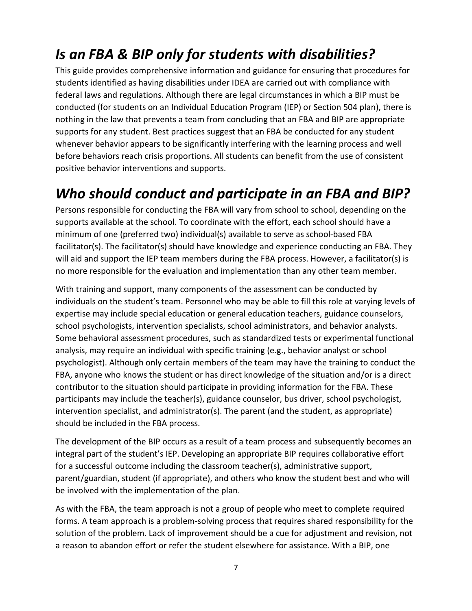## <span id="page-5-0"></span>*Is an FBA & BIP only for students with disabilities?*

This guide provides comprehensive information and guidance for ensuring that procedures for students identified as having disabilities under IDEA are carried out with compliance with federal laws and regulations. Although there are legal circumstances in which a BIP must be conducted (for students on an Individual Education Program (IEP) or Section 504 plan), there is nothing in the law that prevents a team from concluding that an FBA and BIP are appropriate supports for any student. Best practices suggest that an FBA be conducted for any student whenever behavior appears to be significantly interfering with the learning process and well before behaviors reach crisis proportions. All students can benefit from the use of consistent positive behavior interventions and supports.

## <span id="page-5-1"></span>*Who should conduct and participate in an FBA and BIP?*

Persons responsible for conducting the FBA will vary from school to school, depending on the supports available at the school. To coordinate with the effort, each school should have a minimum of one (preferred two) individual(s) available to serve as school-based FBA facilitator(s). The facilitator(s) should have knowledge and experience conducting an FBA. They will aid and support the IEP team members during the FBA process. However, a facilitator(s) is no more responsible for the evaluation and implementation than any other team member.

With training and support, many components of the assessment can be conducted by individuals on the student's team. Personnel who may be able to fill this role at varying levels of expertise may include special education or general education teachers, guidance counselors, school psychologists, intervention specialists, school administrators, and behavior analysts. Some behavioral assessment procedures, such as standardized tests or experimental functional analysis, may require an individual with specific training (e.g., behavior analyst or school psychologist). Although only certain members of the team may have the training to conduct the FBA, anyone who knows the student or has direct knowledge of the situation and/or is a direct contributor to the situation should participate in providing information for the FBA. These participants may include the teacher(s), guidance counselor, bus driver, school psychologist, intervention specialist, and administrator(s). The parent (and the student, as appropriate) should be included in the FBA process.

The development of the BIP occurs as a result of a team process and subsequently becomes an integral part of the student's IEP. Developing an appropriate BIP requires collaborative effort for a successful outcome including the classroom teacher(s), administrative support, parent/guardian, student (if appropriate), and others who know the student best and who will be involved with the implementation of the plan.

As with the FBA, the team approach is not a group of people who meet to complete required forms. A team approach is a problem-solving process that requires shared responsibility for the solution of the problem. Lack of improvement should be a cue for adjustment and revision, not a reason to abandon effort or refer the student elsewhere for assistance. With a BIP, one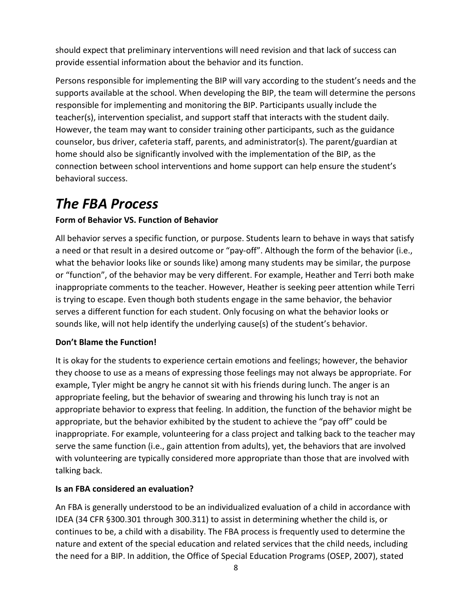should expect that preliminary interventions will need revision and that lack of success can provide essential information about the behavior and its function.

Persons responsible for implementing the BIP will vary according to the student's needs and the supports available at the school. When developing the BIP, the team will determine the persons responsible for implementing and monitoring the BIP. Participants usually include the teacher(s), intervention specialist, and support staff that interacts with the student daily. However, the team may want to consider training other participants, such as the guidance counselor, bus driver, cafeteria staff, parents, and administrator(s). The parent/guardian at home should also be significantly involved with the implementation of the BIP, as the connection between school interventions and home support can help ensure the student's behavioral success.

### <span id="page-6-0"></span>*The FBA Process*

### **Form of Behavior VS. Function of Behavior**

All behavior serves a specific function, or purpose. Students learn to behave in ways that satisfy a need or that result in a desired outcome or "pay-off". Although the form of the behavior (i.e., what the behavior looks like or sounds like) among many students may be similar, the purpose or "function", of the behavior may be very different. For example, Heather and Terri both make inappropriate comments to the teacher. However, Heather is seeking peer attention while Terri is trying to escape. Even though both students engage in the same behavior, the behavior serves a different function for each student. Only focusing on what the behavior looks or sounds like, will not help identify the underlying cause(s) of the student's behavior.

### **Don't Blame the Function!**

It is okay for the students to experience certain emotions and feelings; however, the behavior they choose to use as a means of expressing those feelings may not always be appropriate. For example, Tyler might be angry he cannot sit with his friends during lunch. The anger is an appropriate feeling, but the behavior of swearing and throwing his lunch tray is not an appropriate behavior to express that feeling. In addition, the function of the behavior might be appropriate, but the behavior exhibited by the student to achieve the "pay off" could be inappropriate. For example, volunteering for a class project and talking back to the teacher may serve the same function (i.e., gain attention from adults), yet, the behaviors that are involved with volunteering are typically considered more appropriate than those that are involved with talking back.

### **Is an FBA considered an evaluation?**

An FBA is generally understood to be an individualized evaluation of a child in accordance with IDEA (34 CFR §300.301 through 300.311) to assist in determining whether the child is, or continues to be, a child with a disability. The FBA process is frequently used to determine the nature and extent of the special education and related services that the child needs, including the need for a BIP. In addition, the Office of Special Education Programs (OSEP, 2007), stated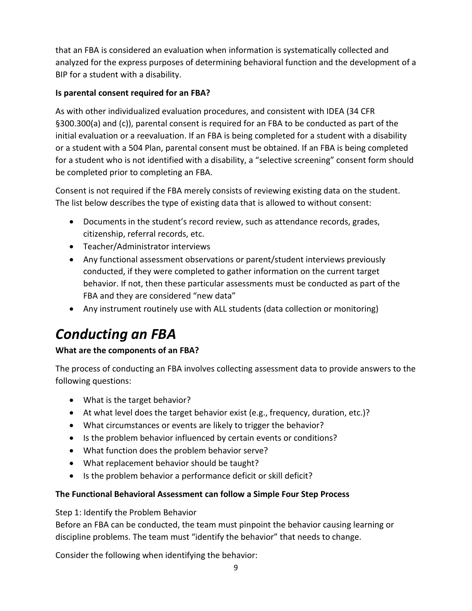that an FBA is considered an evaluation when information is systematically collected and analyzed for the express purposes of determining behavioral function and the development of a BIP for a student with a disability.

### **Is parental consent required for an FBA?**

As with other individualized evaluation procedures, and consistent with IDEA (34 CFR §300.300(a) and (c)), parental consent is required for an FBA to be conducted as part of the initial evaluation or a reevaluation. If an FBA is being completed for a student with a disability or a student with a 504 Plan, parental consent must be obtained. If an FBA is being completed for a student who is not identified with a disability, a "selective screening" consent form should be completed prior to completing an FBA.

Consent is not required if the FBA merely consists of reviewing existing data on the student. The list below describes the type of existing data that is allowed to without consent:

- Documents in the student's record review, such as attendance records, grades, citizenship, referral records, etc.
- Teacher/Administrator interviews
- Any functional assessment observations or parent/student interviews previously conducted, if they were completed to gather information on the current target behavior. If not, then these particular assessments must be conducted as part of the FBA and they are considered "new data"
- Any instrument routinely use with ALL students (data collection or monitoring)

## <span id="page-7-0"></span>*Conducting an FBA*

### **What are the components of an FBA?**

The process of conducting an FBA involves collecting assessment data to provide answers to the following questions:

- What is the target behavior?
- At what level does the target behavior exist (e.g., frequency, duration, etc.)?
- What circumstances or events are likely to trigger the behavior?
- Is the problem behavior influenced by certain events or conditions?
- What function does the problem behavior serve?
- What replacement behavior should be taught?
- Is the problem behavior a performance deficit or skill deficit?

### **The Functional Behavioral Assessment can follow a Simple Four Step Process**

<span id="page-7-1"></span>Step 1: Identify the Problem Behavior

Before an FBA can be conducted, the team must pinpoint the behavior causing learning or discipline problems. The team must "identify the behavior" that needs to change.

Consider the following when identifying the behavior: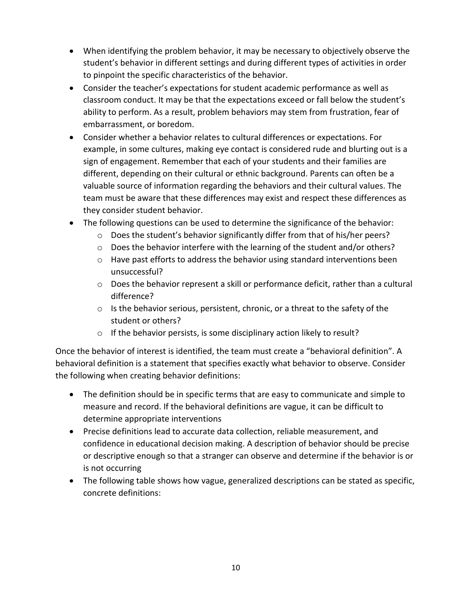- When identifying the problem behavior, it may be necessary to objectively observe the student's behavior in different settings and during different types of activities in order to pinpoint the specific characteristics of the behavior.
- Consider the teacher's expectations for student academic performance as well as classroom conduct. It may be that the expectations exceed or fall below the student's ability to perform. As a result, problem behaviors may stem from frustration, fear of embarrassment, or boredom.
- Consider whether a behavior relates to cultural differences or expectations. For example, in some cultures, making eye contact is considered rude and blurting out is a sign of engagement. Remember that each of your students and their families are different, depending on their cultural or ethnic background. Parents can often be a valuable source of information regarding the behaviors and their cultural values. The team must be aware that these differences may exist and respect these differences as they consider student behavior.
- The following questions can be used to determine the significance of the behavior:
	- $\circ$  Does the student's behavior significantly differ from that of his/her peers?
	- $\circ$  Does the behavior interfere with the learning of the student and/or others?
	- o Have past efforts to address the behavior using standard interventions been unsuccessful?
	- o Does the behavior represent a skill or performance deficit, rather than a cultural difference?
	- $\circ$  Is the behavior serious, persistent, chronic, or a threat to the safety of the student or others?
	- o If the behavior persists, is some disciplinary action likely to result?

Once the behavior of interest is identified, the team must create a "behavioral definition". A behavioral definition is a statement that specifies exactly what behavior to observe. Consider the following when creating behavior definitions:

- The definition should be in specific terms that are easy to communicate and simple to measure and record. If the behavioral definitions are vague, it can be difficult to determine appropriate interventions
- Precise definitions lead to accurate data collection, reliable measurement, and confidence in educational decision making. A description of behavior should be precise or descriptive enough so that a stranger can observe and determine if the behavior is or is not occurring
- The following table shows how vague, generalized descriptions can be stated as specific, concrete definitions: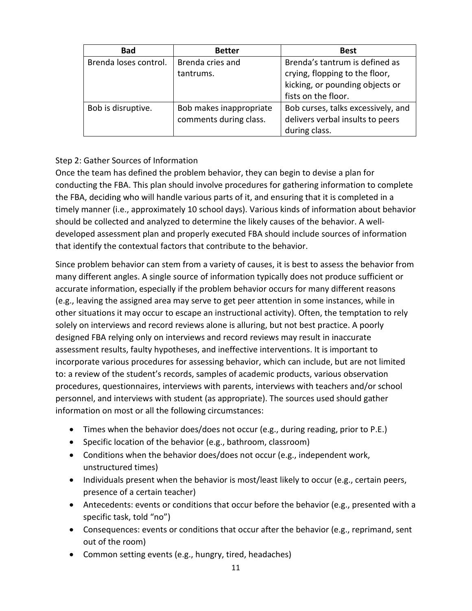| <b>Bad</b>            | <b>Better</b>                                     | <b>Best</b>                                                                                         |
|-----------------------|---------------------------------------------------|-----------------------------------------------------------------------------------------------------|
| Brenda loses control. | Brenda cries and<br>tantrums.                     | Brenda's tantrum is defined as<br>crying, flopping to the floor,<br>kicking, or pounding objects or |
|                       |                                                   | fists on the floor.                                                                                 |
| Bob is disruptive.    | Bob makes inappropriate<br>comments during class. | Bob curses, talks excessively, and<br>delivers verbal insults to peers<br>during class.             |

### <span id="page-9-0"></span>Step 2: Gather Sources of Information

Once the team has defined the problem behavior, they can begin to devise a plan for conducting the FBA. This plan should involve procedures for gathering information to complete the FBA, deciding who will handle various parts of it, and ensuring that it is completed in a timely manner (i.e., approximately 10 school days). Various kinds of information about behavior should be collected and analyzed to determine the likely causes of the behavior. A welldeveloped assessment plan and properly executed FBA should include sources of information that identify the contextual factors that contribute to the behavior.

Since problem behavior can stem from a variety of causes, it is best to assess the behavior from many different angles. A single source of information typically does not produce sufficient or accurate information, especially if the problem behavior occurs for many different reasons (e.g., leaving the assigned area may serve to get peer attention in some instances, while in other situations it may occur to escape an instructional activity). Often, the temptation to rely solely on interviews and record reviews alone is alluring, but not best practice. A poorly designed FBA relying only on interviews and record reviews may result in inaccurate assessment results, faulty hypotheses, and ineffective interventions. It is important to incorporate various procedures for assessing behavior, which can include, but are not limited to: a review of the student's records, samples of academic products, various observation procedures, questionnaires, interviews with parents, interviews with teachers and/or school personnel, and interviews with student (as appropriate). The sources used should gather information on most or all the following circumstances:

- Times when the behavior does/does not occur (e.g., during reading, prior to P.E.)
- Specific location of the behavior (e.g., bathroom, classroom)
- Conditions when the behavior does/does not occur (e.g., independent work, unstructured times)
- Individuals present when the behavior is most/least likely to occur (e.g., certain peers, presence of a certain teacher)
- Antecedents: events or conditions that occur before the behavior (e.g., presented with a specific task, told "no")
- Consequences: events or conditions that occur after the behavior (e.g., reprimand, sent out of the room)
- Common setting events (e.g., hungry, tired, headaches)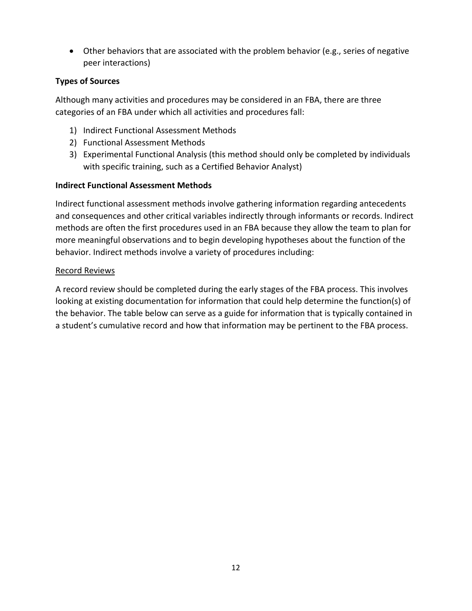• Other behaviors that are associated with the problem behavior (e.g., series of negative peer interactions)

### **Types of Sources**

Although many activities and procedures may be considered in an FBA, there are three categories of an FBA under which all activities and procedures fall:

- 1) Indirect Functional Assessment Methods
- 2) Functional Assessment Methods
- 3) Experimental Functional Analysis (this method should only be completed by individuals with specific training, such as a Certified Behavior Analyst)

### **Indirect Functional Assessment Methods**

Indirect functional assessment methods involve gathering information regarding antecedents and consequences and other critical variables indirectly through informants or records. Indirect methods are often the first procedures used in an FBA because they allow the team to plan for more meaningful observations and to begin developing hypotheses about the function of the behavior. Indirect methods involve a variety of procedures including:

#### Record Reviews

A record review should be completed during the early stages of the FBA process. This involves looking at existing documentation for information that could help determine the function(s) of the behavior. The table below can serve as a guide for information that is typically contained in a student's cumulative record and how that information may be pertinent to the FBA process.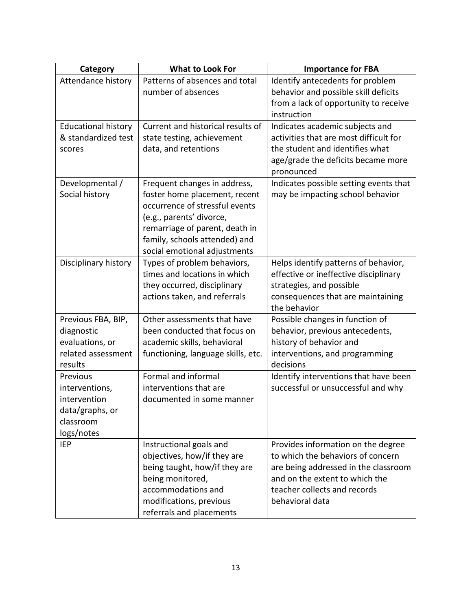| Category                                                                                 | What to Look For                                                                                                                                                                                                               | <b>Importance for FBA</b>                                                                                                                                                                            |
|------------------------------------------------------------------------------------------|--------------------------------------------------------------------------------------------------------------------------------------------------------------------------------------------------------------------------------|------------------------------------------------------------------------------------------------------------------------------------------------------------------------------------------------------|
| Attendance history                                                                       | Patterns of absences and total<br>number of absences                                                                                                                                                                           | Identify antecedents for problem<br>behavior and possible skill deficits<br>from a lack of opportunity to receive<br>instruction                                                                     |
| <b>Educational history</b><br>& standardized test<br>scores                              | Current and historical results of<br>state testing, achievement<br>data, and retentions                                                                                                                                        | Indicates academic subjects and<br>activities that are most difficult for<br>the student and identifies what<br>age/grade the deficits became more<br>pronounced                                     |
| Developmental /<br>Social history                                                        | Frequent changes in address,<br>foster home placement, recent<br>occurrence of stressful events<br>(e.g., parents' divorce,<br>remarriage of parent, death in<br>family, schools attended) and<br>social emotional adjustments | Indicates possible setting events that<br>may be impacting school behavior                                                                                                                           |
| Disciplinary history                                                                     | Types of problem behaviors,<br>times and locations in which<br>they occurred, disciplinary<br>actions taken, and referrals                                                                                                     | Helps identify patterns of behavior,<br>effective or ineffective disciplinary<br>strategies, and possible<br>consequences that are maintaining<br>the behavior                                       |
| Previous FBA, BIP,<br>diagnostic<br>evaluations, or<br>related assessment<br>results     | Other assessments that have<br>been conducted that focus on<br>academic skills, behavioral<br>functioning, language skills, etc.                                                                                               | Possible changes in function of<br>behavior, previous antecedents,<br>history of behavior and<br>interventions, and programming<br>decisions                                                         |
| Previous<br>interventions,<br>intervention<br>data/graphs, or<br>classroom<br>logs/notes | Formal and informal<br>interventions that are<br>documented in some manner                                                                                                                                                     | Identify interventions that have been<br>successful or unsuccessful and why                                                                                                                          |
| <b>IEP</b>                                                                               | Instructional goals and<br>objectives, how/if they are<br>being taught, how/if they are<br>being monitored,<br>accommodations and<br>modifications, previous<br>referrals and placements                                       | Provides information on the degree<br>to which the behaviors of concern<br>are being addressed in the classroom<br>and on the extent to which the<br>teacher collects and records<br>behavioral data |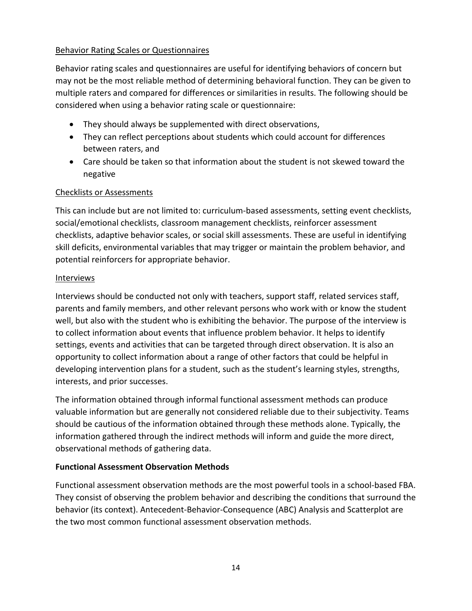### Behavior Rating Scales or Questionnaires

Behavior rating scales and questionnaires are useful for identifying behaviors of concern but may not be the most reliable method of determining behavioral function. They can be given to multiple raters and compared for differences or similarities in results. The following should be considered when using a behavior rating scale or questionnaire:

- They should always be supplemented with direct observations,
- They can reflect perceptions about students which could account for differences between raters, and
- Care should be taken so that information about the student is not skewed toward the negative

### Checklists or Assessments

This can include but are not limited to: curriculum-based assessments, setting event checklists, social/emotional checklists, classroom management checklists, reinforcer assessment checklists, adaptive behavior scales, or social skill assessments. These are useful in identifying skill deficits, environmental variables that may trigger or maintain the problem behavior, and potential reinforcers for appropriate behavior.

#### Interviews

Interviews should be conducted not only with teachers, support staff, related services staff, parents and family members, and other relevant persons who work with or know the student well, but also with the student who is exhibiting the behavior. The purpose of the interview is to collect information about events that influence problem behavior. It helps to identify settings, events and activities that can be targeted through direct observation. It is also an opportunity to collect information about a range of other factors that could be helpful in developing intervention plans for a student, such as the student's learning styles, strengths, interests, and prior successes.

The information obtained through informal functional assessment methods can produce valuable information but are generally not considered reliable due to their subjectivity. Teams should be cautious of the information obtained through these methods alone. Typically, the information gathered through the indirect methods will inform and guide the more direct, observational methods of gathering data.

### **Functional Assessment Observation Methods**

Functional assessment observation methods are the most powerful tools in a school-based FBA. They consist of observing the problem behavior and describing the conditions that surround the behavior (its context). Antecedent-Behavior-Consequence (ABC) Analysis and Scatterplot are the two most common functional assessment observation methods.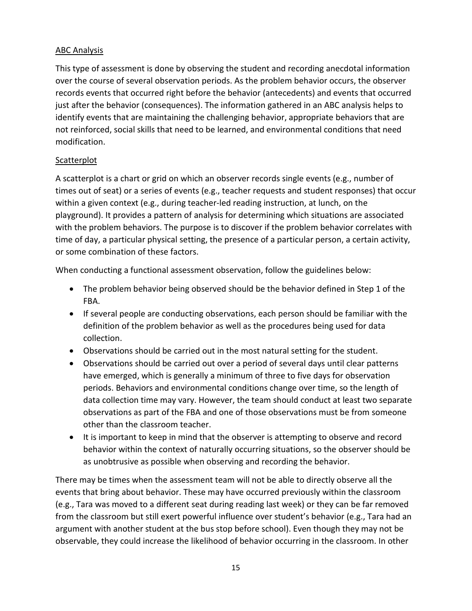### ABC Analysis

This type of assessment is done by observing the student and recording anecdotal information over the course of several observation periods. As the problem behavior occurs, the observer records events that occurred right before the behavior (antecedents) and events that occurred just after the behavior (consequences). The information gathered in an ABC analysis helps to identify events that are maintaining the challenging behavior, appropriate behaviors that are not reinforced, social skills that need to be learned, and environmental conditions that need modification.

### **Scatterplot**

A scatterplot is a chart or grid on which an observer records single events (e.g., number of times out of seat) or a series of events (e.g., teacher requests and student responses) that occur within a given context (e.g., during teacher-led reading instruction, at lunch, on the playground). It provides a pattern of analysis for determining which situations are associated with the problem behaviors. The purpose is to discover if the problem behavior correlates with time of day, a particular physical setting, the presence of a particular person, a certain activity, or some combination of these factors.

When conducting a functional assessment observation, follow the guidelines below:

- The problem behavior being observed should be the behavior defined in Step 1 of the FBA.
- If several people are conducting observations, each person should be familiar with the definition of the problem behavior as well as the procedures being used for data collection.
- Observations should be carried out in the most natural setting for the student.
- Observations should be carried out over a period of several days until clear patterns have emerged, which is generally a minimum of three to five days for observation periods. Behaviors and environmental conditions change over time, so the length of data collection time may vary. However, the team should conduct at least two separate observations as part of the FBA and one of those observations must be from someone other than the classroom teacher.
- It is important to keep in mind that the observer is attempting to observe and record behavior within the context of naturally occurring situations, so the observer should be as unobtrusive as possible when observing and recording the behavior.

There may be times when the assessment team will not be able to directly observe all the events that bring about behavior. These may have occurred previously within the classroom (e.g., Tara was moved to a different seat during reading last week) or they can be far removed from the classroom but still exert powerful influence over student's behavior (e.g., Tara had an argument with another student at the bus stop before school). Even though they may not be observable, they could increase the likelihood of behavior occurring in the classroom. In other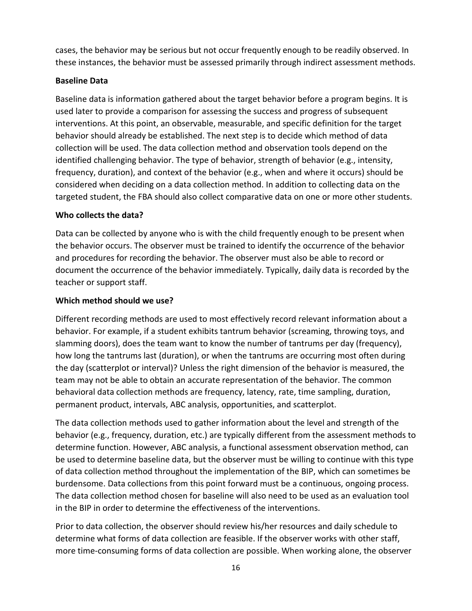cases, the behavior may be serious but not occur frequently enough to be readily observed. In these instances, the behavior must be assessed primarily through indirect assessment methods.

### **Baseline Data**

Baseline data is information gathered about the target behavior before a program begins. It is used later to provide a comparison for assessing the success and progress of subsequent interventions. At this point, an observable, measurable, and specific definition for the target behavior should already be established. The next step is to decide which method of data collection will be used. The data collection method and observation tools depend on the identified challenging behavior. The type of behavior, strength of behavior (e.g., intensity, frequency, duration), and context of the behavior (e.g., when and where it occurs) should be considered when deciding on a data collection method. In addition to collecting data on the targeted student, the FBA should also collect comparative data on one or more other students.

#### **Who collects the data?**

Data can be collected by anyone who is with the child frequently enough to be present when the behavior occurs. The observer must be trained to identify the occurrence of the behavior and procedures for recording the behavior. The observer must also be able to record or document the occurrence of the behavior immediately. Typically, daily data is recorded by the teacher or support staff.

#### **Which method should we use?**

Different recording methods are used to most effectively record relevant information about a behavior. For example, if a student exhibits tantrum behavior (screaming, throwing toys, and slamming doors), does the team want to know the number of tantrums per day (frequency), how long the tantrums last (duration), or when the tantrums are occurring most often during the day (scatterplot or interval)? Unless the right dimension of the behavior is measured, the team may not be able to obtain an accurate representation of the behavior. The common behavioral data collection methods are frequency, latency, rate, time sampling, duration, permanent product, intervals, ABC analysis, opportunities, and scatterplot.

The data collection methods used to gather information about the level and strength of the behavior (e.g., frequency, duration, etc.) are typically different from the assessment methods to determine function. However, ABC analysis, a functional assessment observation method, can be used to determine baseline data, but the observer must be willing to continue with this type of data collection method throughout the implementation of the BIP, which can sometimes be burdensome. Data collections from this point forward must be a continuous, ongoing process. The data collection method chosen for baseline will also need to be used as an evaluation tool in the BIP in order to determine the effectiveness of the interventions.

Prior to data collection, the observer should review his/her resources and daily schedule to determine what forms of data collection are feasible. If the observer works with other staff, more time-consuming forms of data collection are possible. When working alone, the observer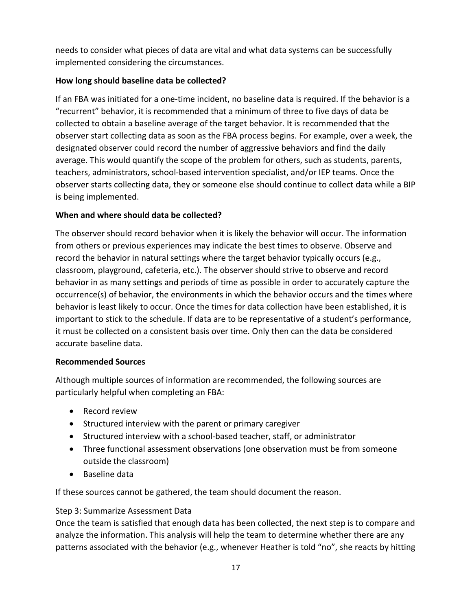needs to consider what pieces of data are vital and what data systems can be successfully implemented considering the circumstances.

### **How long should baseline data be collected?**

If an FBA was initiated for a one-time incident, no baseline data is required. If the behavior is a "recurrent" behavior, it is recommended that a minimum of three to five days of data be collected to obtain a baseline average of the target behavior. It is recommended that the observer start collecting data as soon as the FBA process begins. For example, over a week, the designated observer could record the number of aggressive behaviors and find the daily average. This would quantify the scope of the problem for others, such as students, parents, teachers, administrators, school-based intervention specialist, and/or IEP teams. Once the observer starts collecting data, they or someone else should continue to collect data while a BIP is being implemented.

### **When and where should data be collected?**

The observer should record behavior when it is likely the behavior will occur. The information from others or previous experiences may indicate the best times to observe. Observe and record the behavior in natural settings where the target behavior typically occurs (e.g., classroom, playground, cafeteria, etc.). The observer should strive to observe and record behavior in as many settings and periods of time as possible in order to accurately capture the occurrence(s) of behavior, the environments in which the behavior occurs and the times where behavior is least likely to occur. Once the times for data collection have been established, it is important to stick to the schedule. If data are to be representative of a student's performance, it must be collected on a consistent basis over time. Only then can the data be considered accurate baseline data.

### **Recommended Sources**

Although multiple sources of information are recommended, the following sources are particularly helpful when completing an FBA:

- Record review
- Structured interview with the parent or primary caregiver
- Structured interview with a school-based teacher, staff, or administrator
- Three functional assessment observations (one observation must be from someone outside the classroom)
- Baseline data

If these sources cannot be gathered, the team should document the reason.

### <span id="page-15-0"></span>Step 3: Summarize Assessment Data

Once the team is satisfied that enough data has been collected, the next step is to compare and analyze the information. This analysis will help the team to determine whether there are any patterns associated with the behavior (e.g., whenever Heather is told "no", she reacts by hitting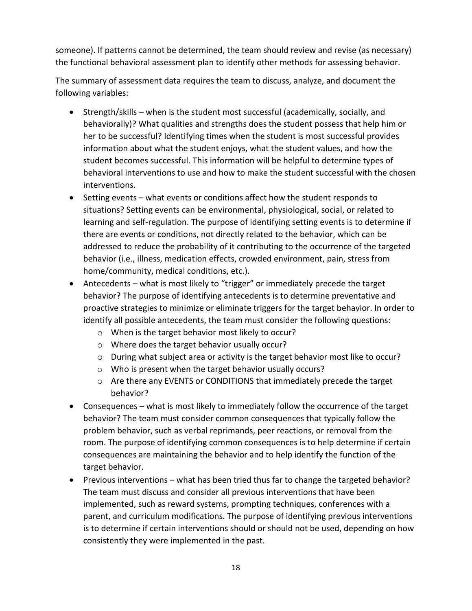someone). If patterns cannot be determined, the team should review and revise (as necessary) the functional behavioral assessment plan to identify other methods for assessing behavior.

The summary of assessment data requires the team to discuss, analyze, and document the following variables:

- Strength/skills when is the student most successful (academically, socially, and behaviorally)? What qualities and strengths does the student possess that help him or her to be successful? Identifying times when the student is most successful provides information about what the student enjoys, what the student values, and how the student becomes successful. This information will be helpful to determine types of behavioral interventions to use and how to make the student successful with the chosen interventions.
- Setting events what events or conditions affect how the student responds to situations? Setting events can be environmental, physiological, social, or related to learning and self-regulation. The purpose of identifying setting events is to determine if there are events or conditions, not directly related to the behavior, which can be addressed to reduce the probability of it contributing to the occurrence of the targeted behavior (i.e., illness, medication effects, crowded environment, pain, stress from home/community, medical conditions, etc.).
- Antecedents what is most likely to "trigger" or immediately precede the target behavior? The purpose of identifying antecedents is to determine preventative and proactive strategies to minimize or eliminate triggers for the target behavior. In order to identify all possible antecedents, the team must consider the following questions:
	- o When is the target behavior most likely to occur?
	- o Where does the target behavior usually occur?
	- $\circ$  During what subject area or activity is the target behavior most like to occur?
	- o Who is present when the target behavior usually occurs?
	- o Are there any EVENTS or CONDITIONS that immediately precede the target behavior?
- Consequences what is most likely to immediately follow the occurrence of the target behavior? The team must consider common consequences that typically follow the problem behavior, such as verbal reprimands, peer reactions, or removal from the room. The purpose of identifying common consequences is to help determine if certain consequences are maintaining the behavior and to help identify the function of the target behavior.
- Previous interventions what has been tried thus far to change the targeted behavior? The team must discuss and consider all previous interventions that have been implemented, such as reward systems, prompting techniques, conferences with a parent, and curriculum modifications. The purpose of identifying previous interventions is to determine if certain interventions should or should not be used, depending on how consistently they were implemented in the past.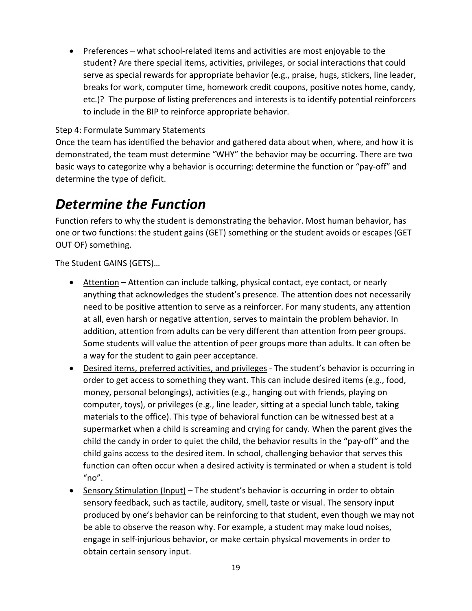• Preferences – what school-related items and activities are most enjoyable to the student? Are there special items, activities, privileges, or social interactions that could serve as special rewards for appropriate behavior (e.g., praise, hugs, stickers, line leader, breaks for work, computer time, homework credit coupons, positive notes home, candy, etc.)? The purpose of listing preferences and interests is to identify potential reinforcers to include in the BIP to reinforce appropriate behavior.

### <span id="page-17-0"></span>Step 4: Formulate Summary Statements

Once the team has identified the behavior and gathered data about when, where, and how it is demonstrated, the team must determine "WHY" the behavior may be occurring. There are two basic ways to categorize why a behavior is occurring: determine the function or "pay-off" and determine the type of deficit.

### <span id="page-17-1"></span>*Determine the Function*

Function refers to why the student is demonstrating the behavior. Most human behavior, has one or two functions: the student gains (GET) something or the student avoids or escapes (GET OUT OF) something.

The Student GAINS (GETS)…

- Attention Attention can include talking, physical contact, eye contact, or nearly anything that acknowledges the student's presence. The attention does not necessarily need to be positive attention to serve as a reinforcer. For many students, any attention at all, even harsh or negative attention, serves to maintain the problem behavior. In addition, attention from adults can be very different than attention from peer groups. Some students will value the attention of peer groups more than adults. It can often be a way for the student to gain peer acceptance.
- Desired items, preferred activities, and privileges The student's behavior is occurring in order to get access to something they want. This can include desired items (e.g., food, money, personal belongings), activities (e.g., hanging out with friends, playing on computer, toys), or privileges (e.g., line leader, sitting at a special lunch table, taking materials to the office). This type of behavioral function can be witnessed best at a supermarket when a child is screaming and crying for candy. When the parent gives the child the candy in order to quiet the child, the behavior results in the "pay-off" and the child gains access to the desired item. In school, challenging behavior that serves this function can often occur when a desired activity is terminated or when a student is told  $"no"$ .
- Sensory Stimulation (Input) The student's behavior is occurring in order to obtain sensory feedback, such as tactile, auditory, smell, taste or visual. The sensory input produced by one's behavior can be reinforcing to that student, even though we may not be able to observe the reason why. For example, a student may make loud noises, engage in self-injurious behavior, or make certain physical movements in order to obtain certain sensory input.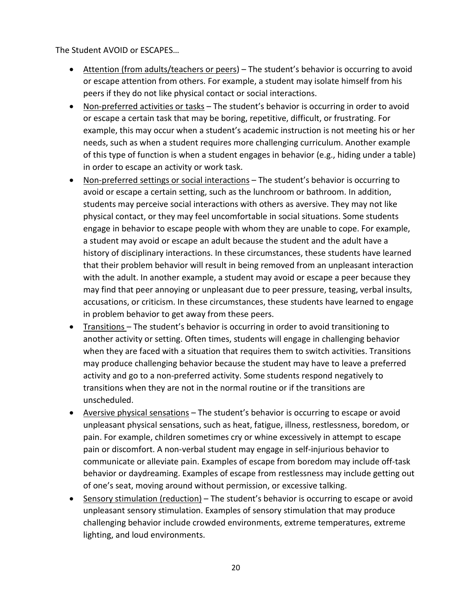The Student AVOID or ESCAPES…

- Attention (from adults/teachers or peers) The student's behavior is occurring to avoid or escape attention from others. For example, a student may isolate himself from his peers if they do not like physical contact or social interactions.
- Non-preferred activities or tasks The student's behavior is occurring in order to avoid or escape a certain task that may be boring, repetitive, difficult, or frustrating. For example, this may occur when a student's academic instruction is not meeting his or her needs, such as when a student requires more challenging curriculum. Another example of this type of function is when a student engages in behavior (e.g., hiding under a table) in order to escape an activity or work task.
- Non-preferred settings or social interactions The student's behavior is occurring to avoid or escape a certain setting, such as the lunchroom or bathroom. In addition, students may perceive social interactions with others as aversive. They may not like physical contact, or they may feel uncomfortable in social situations. Some students engage in behavior to escape people with whom they are unable to cope. For example, a student may avoid or escape an adult because the student and the adult have a history of disciplinary interactions. In these circumstances, these students have learned that their problem behavior will result in being removed from an unpleasant interaction with the adult. In another example, a student may avoid or escape a peer because they may find that peer annoying or unpleasant due to peer pressure, teasing, verbal insults, accusations, or criticism. In these circumstances, these students have learned to engage in problem behavior to get away from these peers.
- Transitions The student's behavior is occurring in order to avoid transitioning to another activity or setting. Often times, students will engage in challenging behavior when they are faced with a situation that requires them to switch activities. Transitions may produce challenging behavior because the student may have to leave a preferred activity and go to a non-preferred activity. Some students respond negatively to transitions when they are not in the normal routine or if the transitions are unscheduled.
- Aversive physical sensations The student's behavior is occurring to escape or avoid unpleasant physical sensations, such as heat, fatigue, illness, restlessness, boredom, or pain. For example, children sometimes cry or whine excessively in attempt to escape pain or discomfort. A non-verbal student may engage in self-injurious behavior to communicate or alleviate pain. Examples of escape from boredom may include off-task behavior or daydreaming. Examples of escape from restlessness may include getting out of one's seat, moving around without permission, or excessive talking.
- Sensory stimulation (reduction) The student's behavior is occurring to escape or avoid unpleasant sensory stimulation. Examples of sensory stimulation that may produce challenging behavior include crowded environments, extreme temperatures, extreme lighting, and loud environments.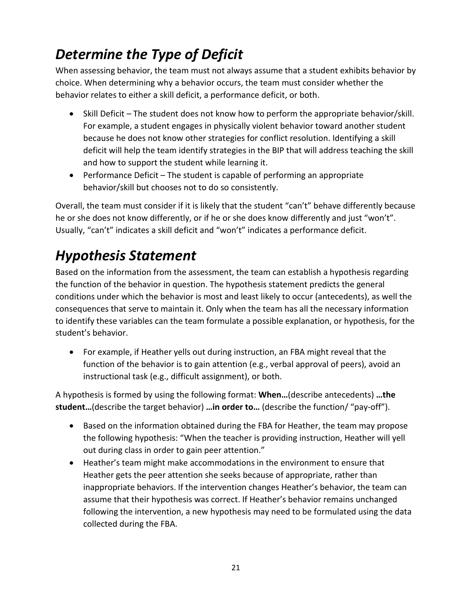## <span id="page-19-0"></span>*Determine the Type of Deficit*

When assessing behavior, the team must not always assume that a student exhibits behavior by choice. When determining why a behavior occurs, the team must consider whether the behavior relates to either a skill deficit, a performance deficit, or both.

- Skill Deficit The student does not know how to perform the appropriate behavior/skill. For example, a student engages in physically violent behavior toward another student because he does not know other strategies for conflict resolution. Identifying a skill deficit will help the team identify strategies in the BIP that will address teaching the skill and how to support the student while learning it.
- Performance Deficit The student is capable of performing an appropriate behavior/skill but chooses not to do so consistently.

Overall, the team must consider if it is likely that the student "can't" behave differently because he or she does not know differently, or if he or she does know differently and just "won't". Usually, "can't" indicates a skill deficit and "won't" indicates a performance deficit.

## <span id="page-19-1"></span>*Hypothesis Statement*

Based on the information from the assessment, the team can establish a hypothesis regarding the function of the behavior in question. The hypothesis statement predicts the general conditions under which the behavior is most and least likely to occur (antecedents), as well the consequences that serve to maintain it. Only when the team has all the necessary information to identify these variables can the team formulate a possible explanation, or hypothesis, for the student's behavior.

• For example, if Heather yells out during instruction, an FBA might reveal that the function of the behavior is to gain attention (e.g., verbal approval of peers), avoid an instructional task (e.g., difficult assignment), or both.

A hypothesis is formed by using the following format: **When…**(describe antecedents) **…the student…**(describe the target behavior) **…in order to…** (describe the function/ "pay-off").

- Based on the information obtained during the FBA for Heather, the team may propose the following hypothesis: "When the teacher is providing instruction, Heather will yell out during class in order to gain peer attention."
- Heather's team might make accommodations in the environment to ensure that Heather gets the peer attention she seeks because of appropriate, rather than inappropriate behaviors. If the intervention changes Heather's behavior, the team can assume that their hypothesis was correct. If Heather's behavior remains unchanged following the intervention, a new hypothesis may need to be formulated using the data collected during the FBA.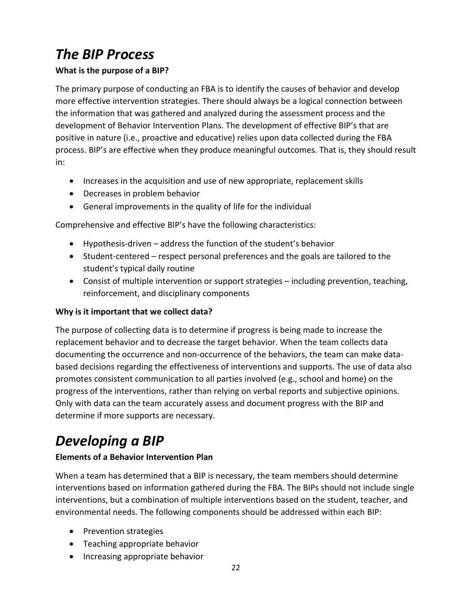## <span id="page-20-0"></span>*The BIP Process*

### **What is the purpose of a BIP?**

The primary purpose of conducting an FBA is to identify the causes of behavior and develop more effective intervention strategies. There should always be a logical connection between the information that was gathered and analyzed during the assessment process and the development of Behavior Intervention Plans. The development of effective BIP's that are positive in nature (i.e., proactive and educative) relies upon data collected during the FBA process. BIP's are effective when they produce meaningful outcomes. That is, they should result in:

- Increases in the acquisition and use of new appropriate, replacement skills
- Decreases in problem behavior
- General improvements in the quality of life for the individual

Comprehensive and effective BIP's have the following characteristics:

- Hypothesis-driven address the function of the student's behavior
- Student-centered respect personal preferences and the goals are tailored to the student's typical daily routine
- Consist of multiple intervention or support strategies including prevention, teaching, reinforcement, and disciplinary components

### **Why is it important that we collect data?**

The purpose of collecting data is to determine if progress is being made to increase the replacement behavior and to decrease the target behavior. When the team collects data documenting the occurrence and non-occurrence of the behaviors, the team can make databased decisions regarding the effectiveness of interventions and supports. The use of data also promotes consistent communication to all parties involved (e.g., school and home) on the progress of the interventions, rather than relying on verbal reports and subjective opinions. Only with data can the team accurately assess and document progress with the BIP and determine if more supports are necessary.

### <span id="page-20-1"></span>*Developing a BIP*

### **Elements of a Behavior Intervention Plan**

When a team has determined that a BIP is necessary, the team members should determine interventions based on information gathered during the FBA. The BIPs should not include single interventions, but a combination of multiple interventions based on the student, teacher, and environmental needs. The following components should be addressed within each BIP:

- Prevention strategies
- Teaching appropriate behavior
- Increasing appropriate behavior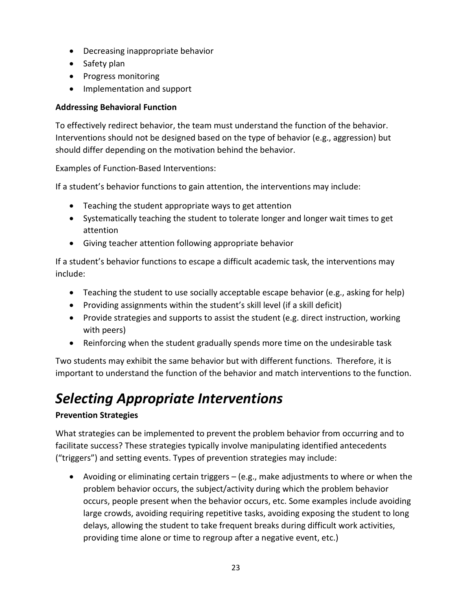- Decreasing inappropriate behavior
- Safety plan
- Progress monitoring
- Implementation and support

### **Addressing Behavioral Function**

To effectively redirect behavior, the team must understand the function of the behavior. Interventions should not be designed based on the type of behavior (e.g., aggression) but should differ depending on the motivation behind the behavior.

Examples of Function-Based Interventions:

If a student's behavior functions to gain attention, the interventions may include:

- Teaching the student appropriate ways to get attention
- Systematically teaching the student to tolerate longer and longer wait times to get attention
- Giving teacher attention following appropriate behavior

If a student's behavior functions to escape a difficult academic task, the interventions may include:

- Teaching the student to use socially acceptable escape behavior (e.g., asking for help)
- Providing assignments within the student's skill level (if a skill deficit)
- Provide strategies and supports to assist the student (e.g. direct instruction, working with peers)
- Reinforcing when the student gradually spends more time on the undesirable task

Two students may exhibit the same behavior but with different functions. Therefore, it is important to understand the function of the behavior and match interventions to the function.

## <span id="page-21-0"></span>*Selecting Appropriate Interventions*

### **Prevention Strategies**

What strategies can be implemented to prevent the problem behavior from occurring and to facilitate success? These strategies typically involve manipulating identified antecedents ("triggers") and setting events. Types of prevention strategies may include:

• Avoiding or eliminating certain triggers – (e.g., make adjustments to where or when the problem behavior occurs, the subject/activity during which the problem behavior occurs, people present when the behavior occurs, etc. Some examples include avoiding large crowds, avoiding requiring repetitive tasks, avoiding exposing the student to long delays, allowing the student to take frequent breaks during difficult work activities, providing time alone or time to regroup after a negative event, etc.)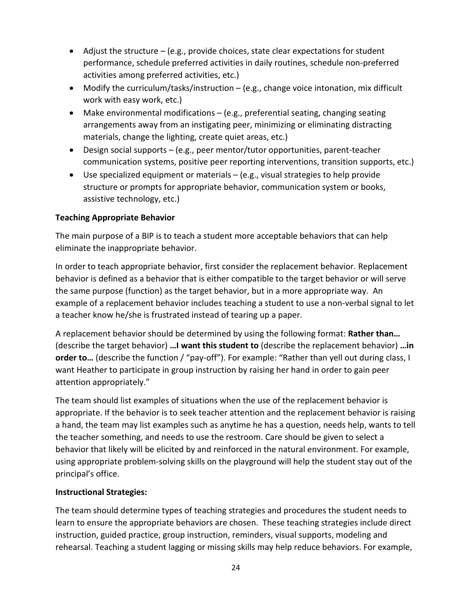- Adjust the structure  $-$  (e.g., provide choices, state clear expectations for student performance, schedule preferred activities in daily routines, schedule non-preferred activities among preferred activities, etc.)
- Modify the curriculum/tasks/instruction (e.g., change voice intonation, mix difficult work with easy work, etc.)
- Make environmental modifications (e.g., preferential seating, changing seating arrangements away from an instigating peer, minimizing or eliminating distracting materials, change the lighting, create quiet areas, etc.)
- Design social supports (e.g., peer mentor/tutor opportunities, parent-teacher communication systems, positive peer reporting interventions, transition supports, etc.)
- Use specialized equipment or materials  $-$  (e.g., visual strategies to help provide structure or prompts for appropriate behavior, communication system or books, assistive technology, etc.)

### **Teaching Appropriate Behavior**

The main purpose of a BIP is to teach a student more acceptable behaviors that can help eliminate the inappropriate behavior.

In order to teach appropriate behavior, first consider the replacement behavior. Replacement behavior is defined as a behavior that is either compatible to the target behavior or will serve the same purpose (function) as the target behavior, but in a more appropriate way. An example of a replacement behavior includes teaching a student to use a non-verbal signal to let a teacher know he/she is frustrated instead of tearing up a paper.

A replacement behavior should be determined by using the following format: **Rather than…** (describe the target behavior) **…I want this student to** (describe the replacement behavior) **…in order to...** (describe the function / "pay-off"). For example: "Rather than yell out during class, I want Heather to participate in group instruction by raising her hand in order to gain peer attention appropriately."

The team should list examples of situations when the use of the replacement behavior is appropriate. If the behavior is to seek teacher attention and the replacement behavior is raising a hand, the team may list examples such as anytime he has a question, needs help, wants to tell the teacher something, and needs to use the restroom. Care should be given to select a behavior that likely will be elicited by and reinforced in the natural environment. For example, using appropriate problem-solving skills on the playground will help the student stay out of the principal's office.

### **Instructional Strategies:**

The team should determine types of teaching strategies and procedures the student needs to learn to ensure the appropriate behaviors are chosen. These teaching strategies include direct instruction, guided practice, group instruction, reminders, visual supports, modeling and rehearsal. Teaching a student lagging or missing skills may help reduce behaviors. For example,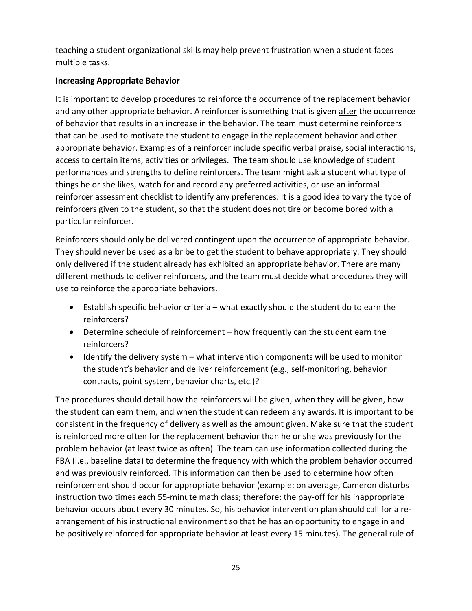teaching a student organizational skills may help prevent frustration when a student faces multiple tasks.

### **Increasing Appropriate Behavior**

It is important to develop procedures to reinforce the occurrence of the replacement behavior and any other appropriate behavior. A reinforcer is something that is given after the occurrence of behavior that results in an increase in the behavior. The team must determine reinforcers that can be used to motivate the student to engage in the replacement behavior and other appropriate behavior. Examples of a reinforcer include specific verbal praise, social interactions, access to certain items, activities or privileges. The team should use knowledge of student performances and strengths to define reinforcers. The team might ask a student what type of things he or she likes, watch for and record any preferred activities, or use an informal reinforcer assessment checklist to identify any preferences. It is a good idea to vary the type of reinforcers given to the student, so that the student does not tire or become bored with a particular reinforcer.

Reinforcers should only be delivered contingent upon the occurrence of appropriate behavior. They should never be used as a bribe to get the student to behave appropriately. They should only delivered if the student already has exhibited an appropriate behavior. There are many different methods to deliver reinforcers, and the team must decide what procedures they will use to reinforce the appropriate behaviors.

- Establish specific behavior criteria what exactly should the student do to earn the reinforcers?
- Determine schedule of reinforcement how frequently can the student earn the reinforcers?
- Identify the delivery system what intervention components will be used to monitor the student's behavior and deliver reinforcement (e.g., self-monitoring, behavior contracts, point system, behavior charts, etc.)?

The procedures should detail how the reinforcers will be given, when they will be given, how the student can earn them, and when the student can redeem any awards. It is important to be consistent in the frequency of delivery as well as the amount given. Make sure that the student is reinforced more often for the replacement behavior than he or she was previously for the problem behavior (at least twice as often). The team can use information collected during the FBA (i.e., baseline data) to determine the frequency with which the problem behavior occurred and was previously reinforced. This information can then be used to determine how often reinforcement should occur for appropriate behavior (example: on average, Cameron disturbs instruction two times each 55-minute math class; therefore; the pay-off for his inappropriate behavior occurs about every 30 minutes. So, his behavior intervention plan should call for a rearrangement of his instructional environment so that he has an opportunity to engage in and be positively reinforced for appropriate behavior at least every 15 minutes). The general rule of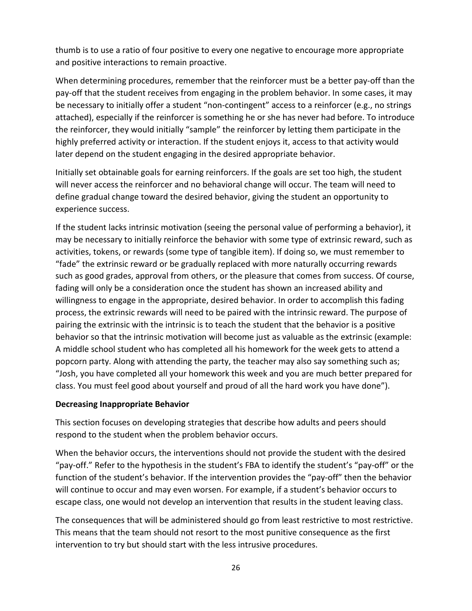thumb is to use a ratio of four positive to every one negative to encourage more appropriate and positive interactions to remain proactive.

When determining procedures, remember that the reinforcer must be a better pay-off than the pay-off that the student receives from engaging in the problem behavior. In some cases, it may be necessary to initially offer a student "non-contingent" access to a reinforcer (e.g., no strings attached), especially if the reinforcer is something he or she has never had before. To introduce the reinforcer, they would initially "sample" the reinforcer by letting them participate in the highly preferred activity or interaction. If the student enjoys it, access to that activity would later depend on the student engaging in the desired appropriate behavior.

Initially set obtainable goals for earning reinforcers. If the goals are set too high, the student will never access the reinforcer and no behavioral change will occur. The team will need to define gradual change toward the desired behavior, giving the student an opportunity to experience success.

If the student lacks intrinsic motivation (seeing the personal value of performing a behavior), it may be necessary to initially reinforce the behavior with some type of extrinsic reward, such as activities, tokens, or rewards (some type of tangible item). If doing so, we must remember to "fade" the extrinsic reward or be gradually replaced with more naturally occurring rewards such as good grades, approval from others, or the pleasure that comes from success. Of course, fading will only be a consideration once the student has shown an increased ability and willingness to engage in the appropriate, desired behavior. In order to accomplish this fading process, the extrinsic rewards will need to be paired with the intrinsic reward. The purpose of pairing the extrinsic with the intrinsic is to teach the student that the behavior is a positive behavior so that the intrinsic motivation will become just as valuable as the extrinsic (example: A middle school student who has completed all his homework for the week gets to attend a popcorn party. Along with attending the party, the teacher may also say something such as; "Josh, you have completed all your homework this week and you are much better prepared for class. You must feel good about yourself and proud of all the hard work you have done").

#### **Decreasing Inappropriate Behavior**

This section focuses on developing strategies that describe how adults and peers should respond to the student when the problem behavior occurs.

When the behavior occurs, the interventions should not provide the student with the desired "pay-off." Refer to the hypothesis in the student's FBA to identify the student's "pay-off" or the function of the student's behavior. If the intervention provides the "pay-off" then the behavior will continue to occur and may even worsen. For example, if a student's behavior occurs to escape class, one would not develop an intervention that results in the student leaving class.

The consequences that will be administered should go from least restrictive to most restrictive. This means that the team should not resort to the most punitive consequence as the first intervention to try but should start with the less intrusive procedures.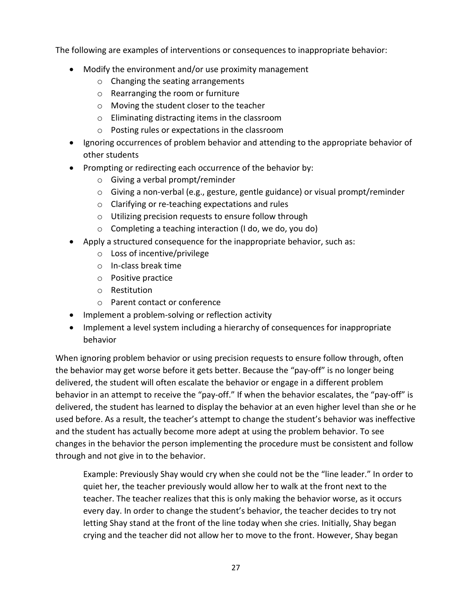The following are examples of interventions or consequences to inappropriate behavior:

- Modify the environment and/or use proximity management
	- o Changing the seating arrangements
	- o Rearranging the room or furniture
	- o Moving the student closer to the teacher
	- o Eliminating distracting items in the classroom
	- o Posting rules or expectations in the classroom
- Ignoring occurrences of problem behavior and attending to the appropriate behavior of other students
- Prompting or redirecting each occurrence of the behavior by:
	- o Giving a verbal prompt/reminder
	- o Giving a non-verbal (e.g., gesture, gentle guidance) or visual prompt/reminder
	- o Clarifying or re-teaching expectations and rules
	- o Utilizing precision requests to ensure follow through
	- o Completing a teaching interaction (I do, we do, you do)
- Apply a structured consequence for the inappropriate behavior, such as:
	- o Loss of incentive/privilege
	- o In-class break time
	- o Positive practice
	- o Restitution
	- o Parent contact or conference
- Implement a problem-solving or reflection activity
- Implement a level system including a hierarchy of consequences for inappropriate behavior

When ignoring problem behavior or using precision requests to ensure follow through, often the behavior may get worse before it gets better. Because the "pay-off" is no longer being delivered, the student will often escalate the behavior or engage in a different problem behavior in an attempt to receive the "pay-off." If when the behavior escalates, the "pay-off" is delivered, the student has learned to display the behavior at an even higher level than she or he used before. As a result, the teacher's attempt to change the student's behavior was ineffective and the student has actually become more adept at using the problem behavior. To see changes in the behavior the person implementing the procedure must be consistent and follow through and not give in to the behavior.

Example: Previously Shay would cry when she could not be the "line leader." In order to quiet her, the teacher previously would allow her to walk at the front next to the teacher. The teacher realizes that this is only making the behavior worse, as it occurs every day. In order to change the student's behavior, the teacher decides to try not letting Shay stand at the front of the line today when she cries. Initially, Shay began crying and the teacher did not allow her to move to the front. However, Shay began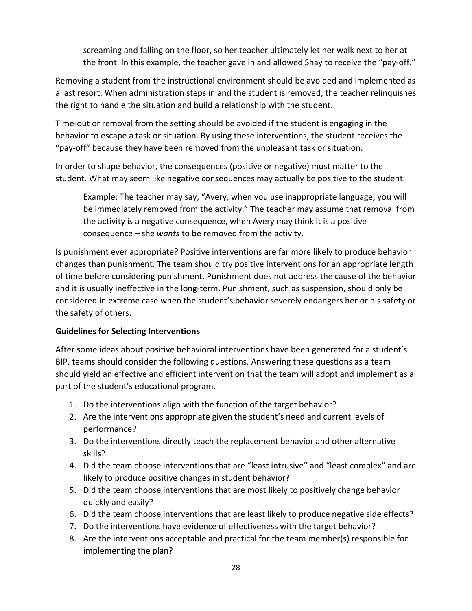screaming and falling on the floor, so her teacher ultimately let her walk next to her at the front. In this example, the teacher gave in and allowed Shay to receive the "pay-off."

Removing a student from the instructional environment should be avoided and implemented as a last resort. When administration steps in and the student is removed, the teacher relinquishes the right to handle the situation and build a relationship with the student.

Time-out or removal from the setting should be avoided if the student is engaging in the behavior to escape a task or situation. By using these interventions, the student receives the "pay-off" because they have been removed from the unpleasant task or situation.

In order to shape behavior, the consequences (positive or negative) must matter to the student. What may seem like negative consequences may actually be positive to the student.

Example: The teacher may say, "Avery, when you use inappropriate language, you will be immediately removed from the activity." The teacher may assume that removal from the activity is a negative consequence, when Avery may think it is a positive consequence – she *wants* to be removed from the activity.

Is punishment ever appropriate? Positive interventions are far more likely to produce behavior changes than punishment. The team should try positive interventions for an appropriate length of time before considering punishment. Punishment does not address the cause of the behavior and it is usually ineffective in the long-term. Punishment, such as suspension, should only be considered in extreme case when the student's behavior severely endangers her or his safety or the safety of others.

### **Guidelines for Selecting Interventions**

After some ideas about positive behavioral interventions have been generated for a student's BIP, teams should consider the following questions. Answering these questions as a team should yield an effective and efficient intervention that the team will adopt and implement as a part of the student's educational program.

- 1. Do the interventions align with the function of the target behavior?
- 2. Are the interventions appropriate given the student's need and current levels of performance?
- 3. Do the interventions directly teach the replacement behavior and other alternative skills?
- 4. Did the team choose interventions that are "least intrusive" and "least complex" and are likely to produce positive changes in student behavior?
- 5. Did the team choose interventions that are most likely to positively change behavior quickly and easily?
- 6. Did the team choose interventions that are least likely to produce negative side effects?
- 7. Do the interventions have evidence of effectiveness with the target behavior?
- 8. Are the interventions acceptable and practical for the team member(s) responsible for implementing the plan?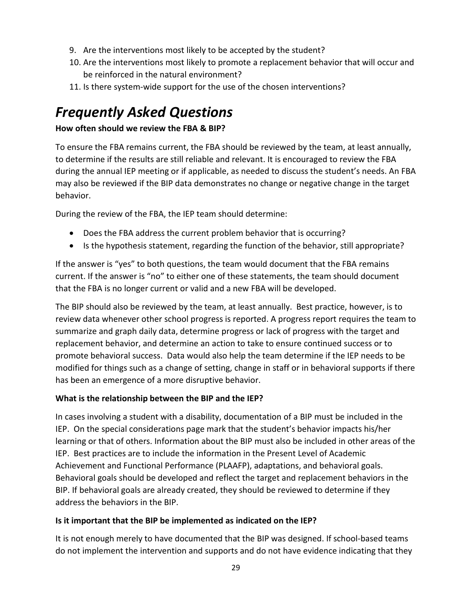- 9. Are the interventions most likely to be accepted by the student?
- 10. Are the interventions most likely to promote a replacement behavior that will occur and be reinforced in the natural environment?
- 11. Is there system-wide support for the use of the chosen interventions?

### <span id="page-27-0"></span>*Frequently Asked Questions*

### **How often should we review the FBA & BIP?**

To ensure the FBA remains current, the FBA should be reviewed by the team, at least annually, to determine if the results are still reliable and relevant. It is encouraged to review the FBA during the annual IEP meeting or if applicable, as needed to discuss the student's needs. An FBA may also be reviewed if the BIP data demonstrates no change or negative change in the target behavior.

During the review of the FBA, the IEP team should determine:

- Does the FBA address the current problem behavior that is occurring?
- Is the hypothesis statement, regarding the function of the behavior, still appropriate?

If the answer is "yes" to both questions, the team would document that the FBA remains current. If the answer is "no" to either one of these statements, the team should document that the FBA is no longer current or valid and a new FBA will be developed.

The BIP should also be reviewed by the team, at least annually. Best practice, however, is to review data whenever other school progress is reported. A progress report requires the team to summarize and graph daily data, determine progress or lack of progress with the target and replacement behavior, and determine an action to take to ensure continued success or to promote behavioral success. Data would also help the team determine if the IEP needs to be modified for things such as a change of setting, change in staff or in behavioral supports if there has been an emergence of a more disruptive behavior.

### **What is the relationship between the BIP and the IEP?**

In cases involving a student with a disability, documentation of a BIP must be included in the IEP. On the special considerations page mark that the student's behavior impacts his/her learning or that of others. Information about the BIP must also be included in other areas of the IEP. Best practices are to include the information in the Present Level of Academic Achievement and Functional Performance (PLAAFP), adaptations, and behavioral goals. Behavioral goals should be developed and reflect the target and replacement behaviors in the BIP. If behavioral goals are already created, they should be reviewed to determine if they address the behaviors in the BIP.

### **Is it important that the BIP be implemented as indicated on the IEP?**

It is not enough merely to have documented that the BIP was designed. If school-based teams do not implement the intervention and supports and do not have evidence indicating that they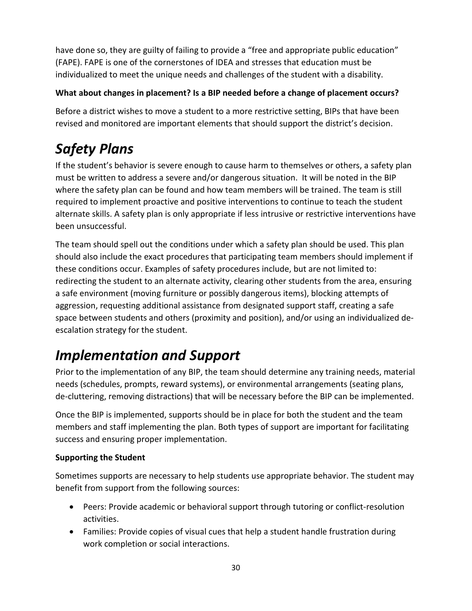have done so, they are guilty of failing to provide a "free and appropriate public education" (FAPE). FAPE is one of the cornerstones of IDEA and stresses that education must be individualized to meet the unique needs and challenges of the student with a disability.

### **What about changes in placement? Is a BIP needed before a change of placement occurs?**

Before a district wishes to move a student to a more restrictive setting, BIPs that have been revised and monitored are important elements that should support the district's decision.

## <span id="page-28-0"></span>*Safety Plans*

If the student's behavior is severe enough to cause harm to themselves or others, a safety plan must be written to address a severe and/or dangerous situation. It will be noted in the BIP where the safety plan can be found and how team members will be trained. The team is still required to implement proactive and positive interventions to continue to teach the student alternate skills. A safety plan is only appropriate if less intrusive or restrictive interventions have been unsuccessful.

The team should spell out the conditions under which a safety plan should be used. This plan should also include the exact procedures that participating team members should implement if these conditions occur. Examples of safety procedures include, but are not limited to: redirecting the student to an alternate activity, clearing other students from the area, ensuring a safe environment (moving furniture or possibly dangerous items), blocking attempts of aggression, requesting additional assistance from designated support staff, creating a safe space between students and others (proximity and position), and/or using an individualized deescalation strategy for the student.

## <span id="page-28-1"></span>*Implementation and Support*

Prior to the implementation of any BIP, the team should determine any training needs, material needs (schedules, prompts, reward systems), or environmental arrangements (seating plans, de-cluttering, removing distractions) that will be necessary before the BIP can be implemented.

Once the BIP is implemented, supports should be in place for both the student and the team members and staff implementing the plan. Both types of support are important for facilitating success and ensuring proper implementation.

### **Supporting the Student**

Sometimes supports are necessary to help students use appropriate behavior. The student may benefit from support from the following sources:

- Peers: Provide academic or behavioral support through tutoring or conflict-resolution activities.
- Families: Provide copies of visual cues that help a student handle frustration during work completion or social interactions.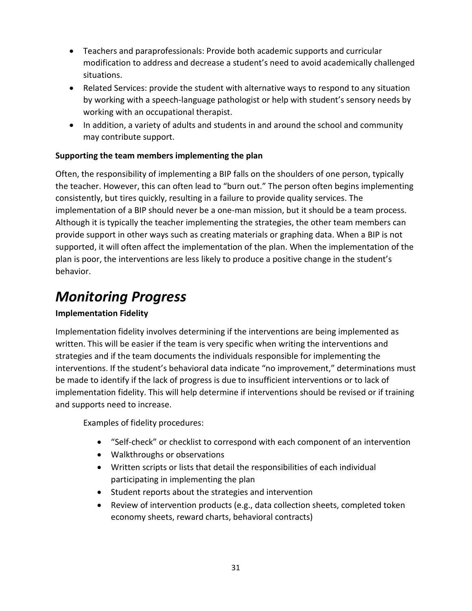- Teachers and paraprofessionals: Provide both academic supports and curricular modification to address and decrease a student's need to avoid academically challenged situations.
- Related Services: provide the student with alternative ways to respond to any situation by working with a speech-language pathologist or help with student's sensory needs by working with an occupational therapist.
- In addition, a variety of adults and students in and around the school and community may contribute support.

### **Supporting the team members implementing the plan**

Often, the responsibility of implementing a BIP falls on the shoulders of one person, typically the teacher. However, this can often lead to "burn out." The person often begins implementing consistently, but tires quickly, resulting in a failure to provide quality services. The implementation of a BIP should never be a one-man mission, but it should be a team process. Although it is typically the teacher implementing the strategies, the other team members can provide support in other ways such as creating materials or graphing data. When a BIP is not supported, it will often affect the implementation of the plan. When the implementation of the plan is poor, the interventions are less likely to produce a positive change in the student's behavior.

### <span id="page-29-0"></span>*Monitoring Progress*

### **Implementation Fidelity**

Implementation fidelity involves determining if the interventions are being implemented as written. This will be easier if the team is very specific when writing the interventions and strategies and if the team documents the individuals responsible for implementing the interventions. If the student's behavioral data indicate "no improvement," determinations must be made to identify if the lack of progress is due to insufficient interventions or to lack of implementation fidelity. This will help determine if interventions should be revised or if training and supports need to increase.

Examples of fidelity procedures:

- "Self-check" or checklist to correspond with each component of an intervention
- Walkthroughs or observations
- Written scripts or lists that detail the responsibilities of each individual participating in implementing the plan
- Student reports about the strategies and intervention
- Review of intervention products (e.g., data collection sheets, completed token economy sheets, reward charts, behavioral contracts)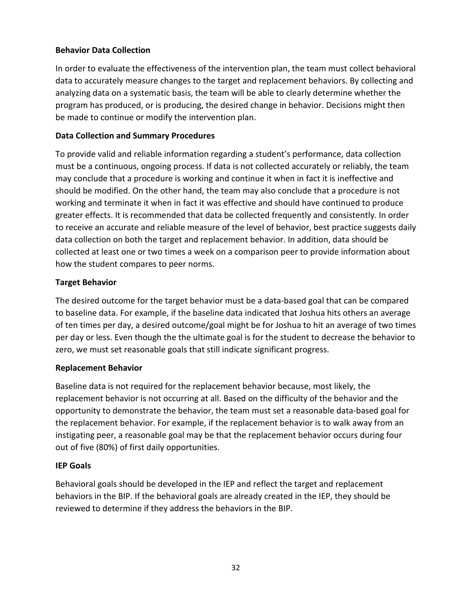### **Behavior Data Collection**

In order to evaluate the effectiveness of the intervention plan, the team must collect behavioral data to accurately measure changes to the target and replacement behaviors. By collecting and analyzing data on a systematic basis, the team will be able to clearly determine whether the program has produced, or is producing, the desired change in behavior. Decisions might then be made to continue or modify the intervention plan.

### **Data Collection and Summary Procedures**

To provide valid and reliable information regarding a student's performance, data collection must be a continuous, ongoing process. If data is not collected accurately or reliably, the team may conclude that a procedure is working and continue it when in fact it is ineffective and should be modified. On the other hand, the team may also conclude that a procedure is not working and terminate it when in fact it was effective and should have continued to produce greater effects. It is recommended that data be collected frequently and consistently. In order to receive an accurate and reliable measure of the level of behavior, best practice suggests daily data collection on both the target and replacement behavior. In addition, data should be collected at least one or two times a week on a comparison peer to provide information about how the student compares to peer norms.

### **Target Behavior**

The desired outcome for the target behavior must be a data-based goal that can be compared to baseline data. For example, if the baseline data indicated that Joshua hits others an average of ten times per day, a desired outcome/goal might be for Joshua to hit an average of two times per day or less. Even though the the ultimate goal is for the student to decrease the behavior to zero, we must set reasonable goals that still indicate significant progress.

### **Replacement Behavior**

Baseline data is not required for the replacement behavior because, most likely, the replacement behavior is not occurring at all. Based on the difficulty of the behavior and the opportunity to demonstrate the behavior, the team must set a reasonable data-based goal for the replacement behavior. For example, if the replacement behavior is to walk away from an instigating peer, a reasonable goal may be that the replacement behavior occurs during four out of five (80%) of first daily opportunities.

### **IEP Goals**

Behavioral goals should be developed in the IEP and reflect the target and replacement behaviors in the BIP. If the behavioral goals are already created in the IEP, they should be reviewed to determine if they address the behaviors in the BIP.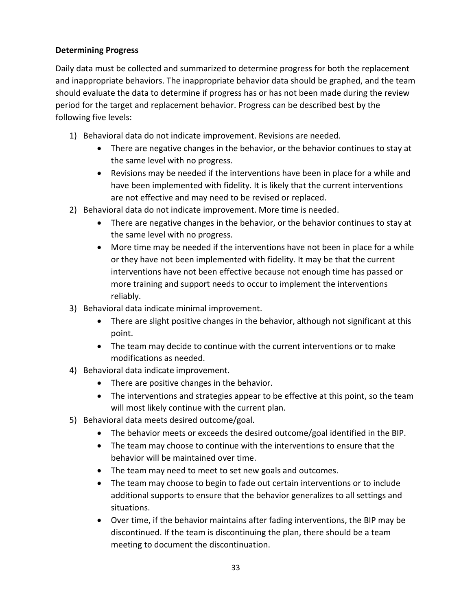### **Determining Progress**

Daily data must be collected and summarized to determine progress for both the replacement and inappropriate behaviors. The inappropriate behavior data should be graphed, and the team should evaluate the data to determine if progress has or has not been made during the review period for the target and replacement behavior. Progress can be described best by the following five levels:

- 1) Behavioral data do not indicate improvement. Revisions are needed.
	- There are negative changes in the behavior, or the behavior continues to stay at the same level with no progress.
	- Revisions may be needed if the interventions have been in place for a while and have been implemented with fidelity. It is likely that the current interventions are not effective and may need to be revised or replaced.
- 2) Behavioral data do not indicate improvement. More time is needed.
	- There are negative changes in the behavior, or the behavior continues to stay at the same level with no progress.
	- More time may be needed if the interventions have not been in place for a while or they have not been implemented with fidelity. It may be that the current interventions have not been effective because not enough time has passed or more training and support needs to occur to implement the interventions reliably.
- 3) Behavioral data indicate minimal improvement.
	- There are slight positive changes in the behavior, although not significant at this point.
	- The team may decide to continue with the current interventions or to make modifications as needed.
- 4) Behavioral data indicate improvement.
	- There are positive changes in the behavior.
	- The interventions and strategies appear to be effective at this point, so the team will most likely continue with the current plan.
- 5) Behavioral data meets desired outcome/goal.
	- The behavior meets or exceeds the desired outcome/goal identified in the BIP.
	- The team may choose to continue with the interventions to ensure that the behavior will be maintained over time.
	- The team may need to meet to set new goals and outcomes.
	- The team may choose to begin to fade out certain interventions or to include additional supports to ensure that the behavior generalizes to all settings and situations.
	- Over time, if the behavior maintains after fading interventions, the BIP may be discontinued. If the team is discontinuing the plan, there should be a team meeting to document the discontinuation.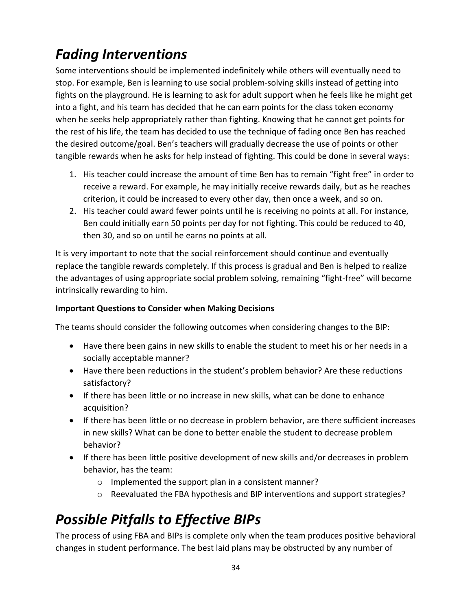## <span id="page-32-0"></span>*Fading Interventions*

Some interventions should be implemented indefinitely while others will eventually need to stop. For example, Ben is learning to use social problem-solving skills instead of getting into fights on the playground. He is learning to ask for adult support when he feels like he might get into a fight, and his team has decided that he can earn points for the class token economy when he seeks help appropriately rather than fighting. Knowing that he cannot get points for the rest of his life, the team has decided to use the technique of fading once Ben has reached the desired outcome/goal. Ben's teachers will gradually decrease the use of points or other tangible rewards when he asks for help instead of fighting. This could be done in several ways:

- 1. His teacher could increase the amount of time Ben has to remain "fight free" in order to receive a reward. For example, he may initially receive rewards daily, but as he reaches criterion, it could be increased to every other day, then once a week, and so on.
- 2. His teacher could award fewer points until he is receiving no points at all. For instance, Ben could initially earn 50 points per day for not fighting. This could be reduced to 40, then 30, and so on until he earns no points at all.

It is very important to note that the social reinforcement should continue and eventually replace the tangible rewards completely. If this process is gradual and Ben is helped to realize the advantages of using appropriate social problem solving, remaining "fight-free" will become intrinsically rewarding to him.

### **Important Questions to Consider when Making Decisions**

The teams should consider the following outcomes when considering changes to the BIP:

- Have there been gains in new skills to enable the student to meet his or her needs in a socially acceptable manner?
- Have there been reductions in the student's problem behavior? Are these reductions satisfactory?
- If there has been little or no increase in new skills, what can be done to enhance acquisition?
- If there has been little or no decrease in problem behavior, are there sufficient increases in new skills? What can be done to better enable the student to decrease problem behavior?
- If there has been little positive development of new skills and/or decreases in problem behavior, has the team:
	- o Implemented the support plan in a consistent manner?
	- o Reevaluated the FBA hypothesis and BIP interventions and support strategies?

## <span id="page-32-1"></span>*Possible Pitfalls to Effective BIPs*

The process of using FBA and BIPs is complete only when the team produces positive behavioral changes in student performance. The best laid plans may be obstructed by any number of